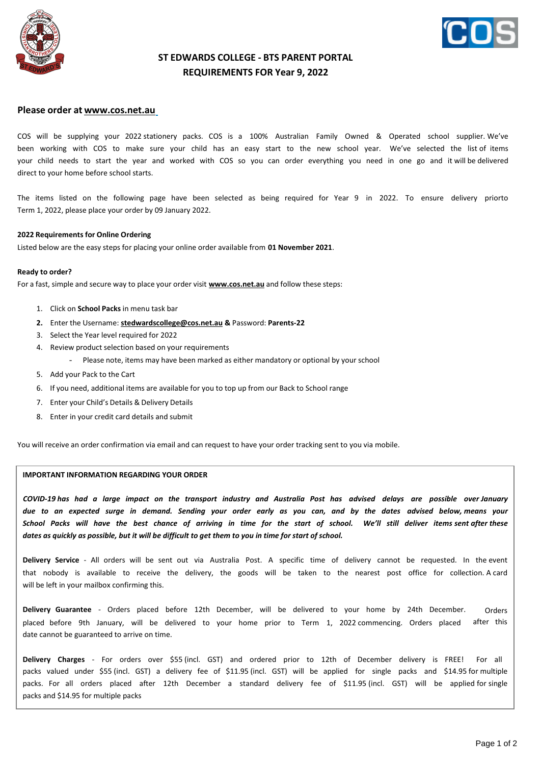



## **ST EDWARDS COLLEGE - BTS PARENT PORTAL REQUIREMENTS FOR Year 9, 2022**

### **Please order at [www.cos.net.au](http://www.cos.net.au/)**

COS will be supplying your 2022 stationery packs. COS is a 100% Australian Family Owned & Operated school supplier. We've been working with COS to make sure your child has an easy start to the new school year. We've selected the list of items your child needs to start the year and worked with COS so you can order everything you need in one go and it will be delivered direct to your home before school starts.

The items listed on the following page have been selected as being required for Year 9 in 2022. To ensure delivery priorto Term 1, 2022, please place your order by 09 January 2022.

#### **2022 Requirements for Online Ordering**

Listed below are the easy steps for placing your online order available from **01 November 2021**.

#### **Ready to order?**

For a fast, simple and secure way to place your order visit **[www.cos.net.au](http://www.cos.net.au/)** and follow these steps:

- 1. Click on **School Packs** in menu task bar
- **2.** Enter the Username: **[stedwardscollege@cos.net.au](mailto:stedwardscollege@cos.net.au) &** Password: **Parents-22**
- 3. Select the Year level required for 2022
- 4. Review product selection based on your requirements
	- Please note, items may have been marked as either mandatory or optional by your school
- 5. Add your Pack to the Cart
- 6. If you need, additional items are available for you to top up from our Back to School range
- 7. Enter your Child's Details & Delivery Details
- 8. Enter in your credit card details and submit

You will receive an order confirmation via email and can request to have your order tracking sent to you via mobile.

#### **IMPORTANT INFORMATION REGARDING YOUR ORDER**

*COVID-19 has had a large impact on the transport industry and Australia Post has advised delays are possible over January due to an expected surge in demand. Sending your order early as you can, and by the dates advised below, means your School Packs will have the best chance of arriving in time for the start of school. We'll still deliver items sent after these* dates as quickly as possible, but it will be difficult to get them to you in time for start of school.

**Delivery Service** - All orders will be sent out via Australia Post. A specific time of delivery cannot be requested. In the event that nobody is available to receive the delivery, the goods will be taken to the nearest post office for collection. A card will be left in your mailbox confirming this.

**Delivery Guarantee** - Orders placed before 12th December, will be delivered to your home by 24th December. placed before 9th January, will be delivered to your home prior to Term 1, 2022 commencing. Orders placed date cannot be guaranteed to arrive on time. Orders after this

**Delivery Charges** - For orders over \$55 (incl. GST) and ordered prior to 12th of December delivery is FREE! For all packs valued under \$55 (incl. GST) a delivery fee of \$11.95 (incl. GST) will be applied for single packs and \$14.95 for multiple packs. For all orders placed after 12th December a standard delivery fee of \$11.95 (incl. GST) will be applied for single packs and \$14.95 for multiple packs